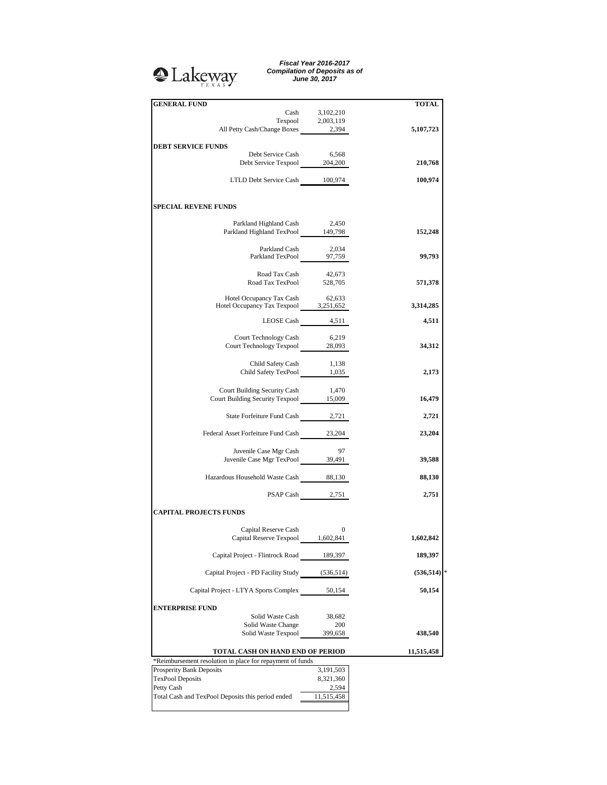## <sup>2</sup>Lakeway

*Fiscal Year 2016-2017 Compilation of Deposits as of June 30, 2017*

| <b>GENERAL FUND</b>                                                      |                        | <b>TOTAL</b> |
|--------------------------------------------------------------------------|------------------------|--------------|
|                                                                          | Cash 3,102,210         |              |
| Texpool 2,003,119<br>All Petty Cash/Change Boxes 2,394                   |                        |              |
|                                                                          |                        | 5,107,723    |
| <b>DEBT SERVICE FUNDS</b>                                                |                        |              |
| Debt Service Cash                                                        | 6,568                  |              |
| Debt Service Texpool 204,200                                             |                        | 210,768      |
|                                                                          |                        |              |
| LTLD Debt Service Cash 100,974                                           |                        | 100,974      |
|                                                                          |                        |              |
| <b>SPECIAL REVENE FUNDS</b>                                              |                        |              |
|                                                                          |                        |              |
| Parkland Highland Cash 2,450                                             |                        |              |
| Parkland Highland TexPool 149,798                                        |                        | 152,248      |
| Parkland Cash                                                            | 2,034                  |              |
| Parkland TexPool 97,759                                                  |                        | 99,793       |
|                                                                          |                        |              |
| Road Tax Cash                                                            | 42,673                 |              |
| Road Tax TexPool 528,705                                                 |                        | 571,378      |
| Hotel Occupancy Tax Cash                                                 | 62,633                 |              |
| Hotel Occupancy Tax Cash 62,633<br>Hotel Occupancy Tax Texpool 3,251,652 |                        | 3,314,285    |
|                                                                          |                        |              |
|                                                                          | LEOSE Cash 4,511       | 4,511        |
| Court Technology Cash                                                    | 6,219                  |              |
| Court Technology Texpool 28,093                                          |                        | 34,312       |
|                                                                          |                        |              |
| Child Safety Cash<br>Child Safety TexPool 1,035                          | 1,138                  |              |
|                                                                          |                        | 2,173        |
| Court Building Security Cash                                             | 1,470                  |              |
| Court Building Security Texpool 15,009                                   |                        | 16,479       |
|                                                                          |                        |              |
| State Forfeiture Fund Cash 2,721                                         |                        | 2,721        |
|                                                                          |                        |              |
| Federal Asset Forfeiture Fund Cash 23,204                                |                        | 23,204       |
| Juvenile Case Mgr Cash                                                   | 97                     |              |
| Juvenile Case Mgr TexPool 39,491                                         |                        | 39,588       |
|                                                                          |                        |              |
| Hazardous Household Waste Cash 88,130                                    |                        | 88,130       |
|                                                                          |                        |              |
|                                                                          | PSAP Cash 2,751        | 2,751        |
| <b>CAPITAL PROJECTS FUNDS</b>                                            |                        |              |
|                                                                          |                        |              |
| Capital Reserve Cash                                                     | $\mathbf{0}$           |              |
| Capital Reserve Texpool 1,602,841                                        |                        | 1,602,842    |
| Capital Project - Flintrock Road 189,397                                 |                        | 189,397      |
|                                                                          |                        |              |
| Capital Project - PD Facility Study (536,514)                            |                        | (536, 514)   |
|                                                                          |                        |              |
| Capital Project - LTYA Sports Complex                                    | 50,154                 | 50,154       |
|                                                                          |                        |              |
| <b>ENTERPRISE FUND</b><br>Solid Waste Cash                               | 38,682                 |              |
| Solid Waste Change                                                       | 200                    |              |
| Solid Waste Texpool                                                      | 399,658                | 438,540      |
|                                                                          |                        |              |
| TOTAL CASH ON HAND END OF PERIOD                                         |                        | 11,515,458   |
| *Reimbursement resolution in place for repayment of funds                |                        |              |
| Prosperity Bank Deposits<br><b>TexPool Deposits</b>                      | 3,191,503<br>8,321,360 |              |
| Petty Cash                                                               | 2,594                  |              |
| Total Cash and TexPool Deposits this period ended                        | 11,515,458             |              |
|                                                                          |                        |              |